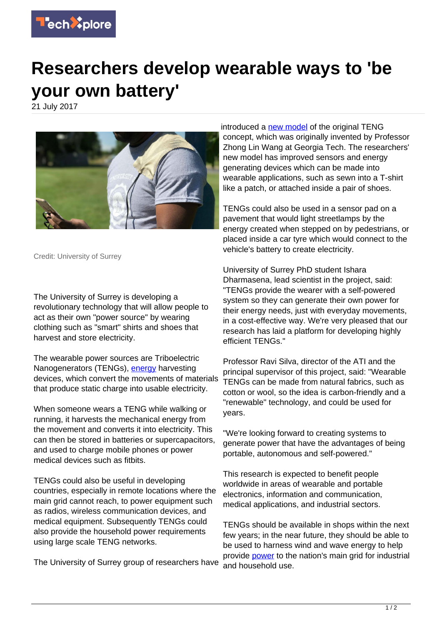

## **Researchers develop wearable ways to 'be your own battery'**

21 July 2017



Credit: University of Surrey

The University of Surrey is developing a revolutionary technology that will allow people to act as their own "power source" by wearing clothing such as "smart" shirts and shoes that harvest and store electricity.

The wearable power sources are Triboelectric Nanogenerators (TENGs), [energy](https://techxplore.com/tags/energy/) harvesting devices, which convert the movements of materials that produce static charge into usable electricity.

When someone wears a TENG while walking or running, it harvests the mechanical energy from the movement and converts it into electricity. This can then be stored in batteries or supercapacitors, and used to charge mobile phones or power medical devices such as fitbits.

TENGs could also be useful in developing countries, especially in remote locations where the main grid cannot reach, to power equipment such as radios, wireless communication devices, and medical equipment. Subsequently TENGs could also provide the household power requirements using large scale TENG networks.

The University of Surrey group of researchers have

introduced a [new model](https://techxplore.com/tags/new+model/) of the original TENG concept, which was originally invented by Professor Zhong Lin Wang at Georgia Tech. The researchers' new model has improved sensors and energy generating devices which can be made into wearable applications, such as sewn into a T-shirt like a patch, or attached inside a pair of shoes.

TENGs could also be used in a sensor pad on a pavement that would light streetlamps by the energy created when stepped on by pedestrians, or placed inside a car tyre which would connect to the vehicle's battery to create electricity.

University of Surrey PhD student Ishara Dharmasena, lead scientist in the project, said: "TENGs provide the wearer with a self-powered system so they can generate their own power for their energy needs, just with everyday movements, in a cost-effective way. We're very pleased that our research has laid a platform for developing highly efficient TENGs."

Professor Ravi Silva, director of the ATI and the principal supervisor of this project, said: "Wearable TENGs can be made from natural fabrics, such as cotton or wool, so the idea is carbon-friendly and a "renewable" technology, and could be used for years.

"We're looking forward to creating systems to generate power that have the advantages of being portable, autonomous and self-powered."

This research is expected to benefit people worldwide in areas of wearable and portable electronics, information and communication, medical applications, and industrial sectors.

TENGs should be available in shops within the next few years; in the near future, they should be able to be used to harness wind and wave energy to help provide [power](https://techxplore.com/tags/power/) to the nation's main grid for industrial and household use.